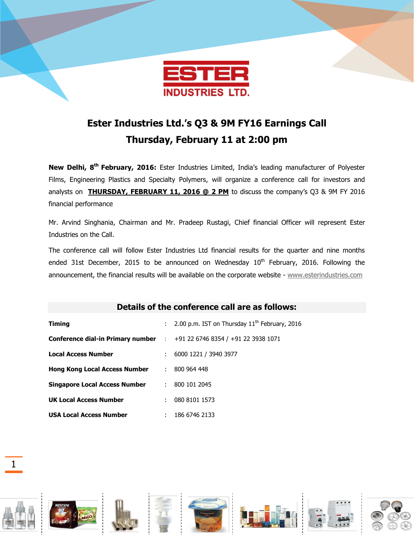

## **Ester Industries Ltd.'s Q3 & 9M FY16 Earnings Call Thursday, February 11 at 2:00 pm**

**New Delhi, 8 th February, 2016:** Ester Industries Limited, India's leading manufacturer of Polyester Films, Engineering Plastics and Specialty Polymers, will organize a conference call for investors and analysts on **THURSDAY, FEBRUARY 11, 2016 @ 2 PM** to discuss the company's Q3 & 9M FY 2016 financial performance

Mr. Arvind Singhania, Chairman and Mr. Pradeep Rustagi, Chief financial Officer will represent Ester Industries on the Call.

The conference call will follow Ester Industries Ltd financial results for the quarter and nine months ended 31st December, 2015 to be announced on Wednesday  $10<sup>th</sup>$  February, 2016. Following the announcement, the financial results will be available on the corporate website - [www.esterindustries.com](http://www.esterindustries.com/)

## **Details of the conference call are as follows:**

| <b>Timing</b>                                                                         | $\mathcal{L}^{\mathcal{L}}$ | 2.00 p.m. IST on Thursday 11 <sup>th</sup> February, 2016 |
|---------------------------------------------------------------------------------------|-----------------------------|-----------------------------------------------------------|
| <b>Conference dial-in Primary number</b> : $+91\,22\,6746\,8354/ +91\,22\,3938\,1071$ |                             |                                                           |
| <b>Local Access Number</b>                                                            | ÷                           | 6000 1221 / 3940 3977                                     |
| <b>Hong Kong Local Access Number</b>                                                  | ÷.                          | 800 964 448                                               |
| <b>Singapore Local Access Number</b>                                                  | ÷.                          | 800 101 2045                                              |
| <b>UK Local Access Number</b>                                                         | ÷                           | 080 8101 1573                                             |
| <b>USA Local Access Number</b>                                                        | ÷                           | 186 6746 2133                                             |

1